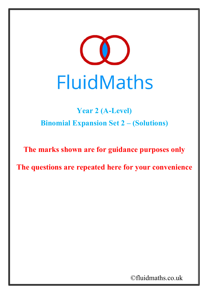

## **Year 2 (A-Level) Binomial Expansion Set 2 – (Solutions)**

**The marks shown are for guidance purposes only**

**The questions are repeated here for your convenience**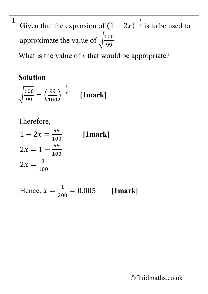Given that the expansion of  $(1 - 2x)$  $-\frac{1}{2}$  $\frac{1}{2}$  is to be used to approximate the value of  $\sqrt{\frac{100}{99}}$ 99

What is the value of *x* that would be appropriate?

## **Solution**

**1**

$$
\sqrt{\frac{100}{99}} = \left(\frac{99}{100}\right)^{-\frac{1}{2}} \quad \text{[1mark]}
$$

Therefore,

$$
1 - 2x = \frac{99}{100}
$$
 [1mark]  
2x = 1 - \frac{99}{100}  
2x = \frac{1}{100}

Hence,  $x = \frac{1}{20}$ 200

$$
= 0.005 \qquad \text{[1mark]}
$$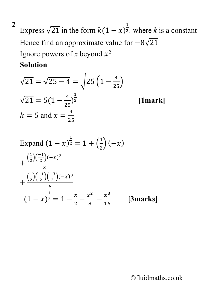Express  $\sqrt{21}$  in the form  $k(1 - x)$  $\overline{\mathsf{1}}$ <sup>2</sup>. where *k* is a constant Hence find an approximate value for  $-8\sqrt{21}$ Ignore powers of *x* beyond  $x^3$ **Solution**

$$
\sqrt{21} = \sqrt{25 - 4} = \sqrt{25} \left( 1 - \frac{4}{25} \right)
$$
  

$$
\sqrt{21} = 5 \left( 1 - \frac{4}{25} \right)^{\frac{1}{2}}
$$
 [1mark]  

$$
k = 5 \text{ and } x = \frac{4}{25}
$$

**2**

Expand 
$$
(1 - x)^{\frac{1}{2}} = 1 + \left(\frac{1}{2}\right)(-x)
$$

\n
$$
+ \frac{\left(\frac{1}{2}\right)\left(\frac{-1}{2}\right)(-x)^2}{2}
$$

\n
$$
+ \frac{\left(\frac{1}{2}\right)\left(\frac{-1}{2}\right)\left(\frac{-3}{2}\right)(-x)^3}{6}
$$

\n
$$
(1 - x)^{\frac{1}{2}} = 1 - \frac{x}{2} - \frac{x^2}{8} - \frac{x^3}{16}
$$
 [3marks]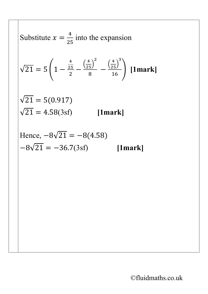Substitute 
$$
x = \frac{4}{25}
$$
 into the expansion  
\n
$$
\sqrt{21} = 5\left(1 - \frac{\frac{4}{25}}{2} - \frac{\left(\frac{4}{25}\right)^2}{8} - \frac{\left(\frac{4}{25}\right)^3}{16}\right)
$$
 [1mark]  
\n
$$
\sqrt{21} = 5(0.917)
$$
\n
$$
\sqrt{21} = 4.58(3sf)
$$
 [1mark]  
\nHence,  $-8\sqrt{21} = -8(4.58)$   
\n $-8\sqrt{21} = -36.7(3sf)$  [1mark]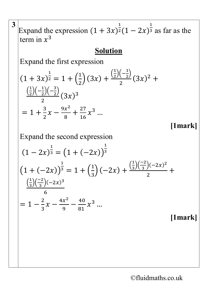**3** Expand the expression  $(1 + 3x)$  $\overline{1}$  $2(1 - 2x)$  $\overline{\phantom{a}1}$  $\frac{1}{3}$  as far as the term in  $x^3$ **Solution** Expand the first expression  $(1 + 3x)$  $\overline{1}$  $2 = 1 + ($  $\overline{\mathsf{I}}$ 2  $\Big) (3x) + \frac{\Big(\frac{1}{2}\Big)}{x}$  $\frac{1}{2}$  $\left(-\frac{1}{2}\right)$  $\frac{(2)}{2}(3x)^2 +$  $\Big(\frac{1}{2}\Big)$  $\frac{1}{2}$  $\left(-\frac{1}{2}\right)\left(-\frac{3}{2}\right)$  $\frac{27(2)}{2}(3x)^3$  $= 1 + \frac{3}{2}$ 2  $x-\frac{9x^2}{8}$ 8  $+\frac{27}{16}$ 16  $x^3$  ... **[1mark]**  Expand the second expression  $(1 - 2x)$  $\overline{\mathsf{I}}$  $3 = (1 + (-2x))$  $\overline{\phantom{1}}$ 3  $(1 + (-2x))$  $\overline{\phantom{1}}$  $3 = 1 + ($  $\overline{\mathsf{I}}$ 3  $\bigg) (-2x) + \frac{\left(\frac{1}{3}\right)}{2}$  $\frac{1}{3}$  $\left(\frac{-2}{3}\right)(-2x)^2$ 2  $\ddot{}$  $\left(\frac{1}{3}\right)$  $\frac{1}{3}$  $\left(\frac{-2}{3}\right)(-2x)^3$ 6  $= 1 - \frac{2}{3}$ 3  $x-\frac{4x^2}{9}-\frac{40}{81}$  $x^3$  ... **[1mark]**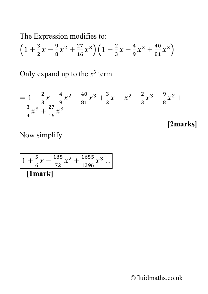The Expression modifies to:  $\left(1 + \frac{3}{2}\right)$ 2  $\chi-\frac{9}{8}$ 8  $x^2 + \frac{27}{16}$ 16  $(x^3)(1 + \frac{2}{3})$ 3  $\chi-\frac{4}{9}$ 9  $x^2 + \frac{40}{81}$ 81  $x^3\big)$ Only expand up to the  $x^3$  term  $= 1 - \frac{2}{3}$ 3  $\chi-\frac{4}{9}$ 9  $x^2 - \frac{40}{81}$ 81  $x^3 + \frac{3}{2}$ 2  $x - x^2 - \frac{2}{3}$ 3  $x^3 - \frac{9}{8}$ 8  $x^2$  + 3 4  $x^3 + \frac{27}{16}$ 16  $x^3$ **[2marks]**  Now simplify  $1 + \frac{5}{6}$  $\frac{6}{1}$  $\chi-\frac{185}{72}$ 72  $x^2 + \frac{1655}{1296}$ 1296  $x^3$  ... **[1mark]**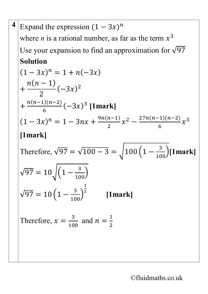4 Expand the expression 
$$
(1 - 3x)^n
$$
  
\nwhere *n* is a rational number, as far as the term  $x^3$   
\nUse your expansion to find an approximation for  $\sqrt{97}$   
\n**Solution**  
\n
$$
(1 - 3x)^n = 1 + n(-3x)
$$
\n
$$
+ \frac{n(n-1)}{2}(-3x)^2
$$
\n
$$
+ \frac{n(n-1)(n-2)}{6}(-3x)^3
$$
 [1mark]  
\n
$$
(1 - 3x)^n = 1 - 3nx + \frac{9n(n-1)}{2}x^2 - \frac{27n(n-1)(n-2)}{6}x^3
$$
  
\n[1mark]  
\nTherefore,  $\sqrt{97} = \sqrt{100 - 3} = \sqrt{100(1 - \frac{3}{100})}[1\text{mark}]$   
\n $\sqrt{97} = 10\sqrt{(1 - \frac{3}{100})}$   
\n $\sqrt{97} = 10(1 - \frac{3}{100})^{\frac{1}{2}}$  [1mark]  
\nTherefore,  $x = \frac{3}{100}$  and  $n = \frac{1}{2}$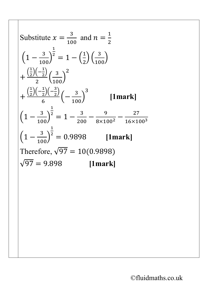Substitute 
$$
x = \frac{3}{100}
$$
 and  $n = \frac{1}{2}$   
\n
$$
\left(1 - \frac{3}{100}\right)^{\frac{1}{2}} = 1 - \left(\frac{1}{2}\right)\left(\frac{3}{100}\right)
$$
\n
$$
+ \frac{\left(\frac{1}{2}\right)\left(-\frac{1}{2}\right)}{2}\left(\frac{3}{100}\right)^2
$$
\n
$$
+ \frac{\left(\frac{1}{2}\right)\left(-\frac{1}{2}\right)\left(-\frac{3}{2}\right)}{6}\left(-\frac{3}{100}\right)^3 \qquad \text{[1mark]}
$$
\n
$$
\left(1 - \frac{3}{100}\right)^{\frac{1}{2}} = 1 - \frac{3}{200} - \frac{9}{8 \times 100^2} - \frac{27}{16 \times 100^3}
$$
\n
$$
\left(1 - \frac{3}{100}\right)^{\frac{1}{2}} = 0.9898 \qquad \text{[1mark]}
$$
\nTherefore,  $\sqrt{97} = 10(0.9898)$   
\n $\sqrt{97} = 9.898 \qquad \text{[1mark]}$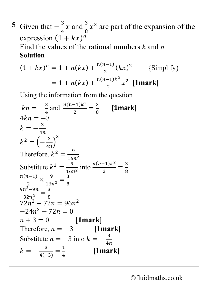| 5 Given that $-\frac{3}{4}x$ and $\frac{3}{8}x^2$ are part of the expansion of the |
|------------------------------------------------------------------------------------|
| expression $(1 + kx)^n$                                                            |
| Find the values of the rational numbers $k$ and $n$                                |
| <b>Solution</b>                                                                    |
| $(1 + kx)^n = 1 + n(kx) + \frac{n(n-1)}{2}(kx)^2$ {Simplify}                       |
| $= 1 + n(kx) + \frac{n(n-1)k^2}{2}x^2$ [1mark]                                     |
| Using the information from the question                                            |
| $kn = -\frac{3}{4}$ and $\frac{n(n-1)k^2}{2} = \frac{3}{8}$ [1mark]                |
| $4kn = -3$                                                                         |
| $k = -\frac{3}{4n}$                                                                |
| $k^2 = \left(-\frac{3}{4n}\right)^2$                                               |
| Therefore, $k^2 = \frac{9}{16n^2}$                                                 |
| Substitute $k^2 = \frac{9}{16n^2}$ into $\frac{n(n-1)k^2}{2} = \frac{3}{8}$        |
| $\frac{n(n-1)}{2} \times \frac{9}{16n^2} = \frac{3}{8}$                            |
|                                                                                    |
| $\frac{9n^2-9n}{32n^2}=\frac{3}{8}$                                                |
| $72n^2 - 72n = 96n^2$                                                              |
| $-24n^2 - 72n = 0$                                                                 |
| $n + 3 = 0$ [1mark]                                                                |
| Therefore, $n = -3$ [1mark]                                                        |
| Substitute $n = -3$ into $k = -\frac{3}{2}$                                        |
| $k=-\frac{3}{4(-3)}=\frac{1}{4}$<br>[1mark]                                        |
|                                                                                    |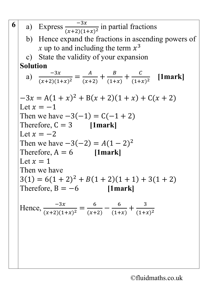6  
\na) Express 
$$
\frac{-3x}{(x+2)(1+x)^2}
$$
 in partial fractions  
\nb) Hence expand the fractions in ascending powers of  
\nx up to and including the term  $x^3$   
\nc) State the validity of your expansion  
\n**Solution**  
\na)  $\frac{-3x}{(x+2)(1+x)^2} = \frac{A}{(x+2)} + \frac{B}{(1+x)} + \frac{C}{(1+x)^2}$  [1mark]  
\n $-3x = A(1+x)^2 + B(x+2)(1+x) + C(x+2)$   
\nLet  $x = -1$   
\nThen we have  $-3(-1) = C(-1+2)$   
\nTherefore,  $C = 3$  [1mark]  
\nLet  $x = -2$   
\nThen we have  $-3(-2) = A(1-2)^2$   
\nTherefore,  $A = 6$  [1mark]  
\nLet  $x = 1$   
\nThen we have  
\n $3(1) = 6(1+2)^2 + B(1+2)(1+1) + 3(1+2)$   
\nTherefore,  $B = -6$  [1mark]  
\nHence,  $\frac{-3x}{(x+2)(1+x)^2} = \frac{6}{(x+2)} - \frac{6}{(1+x)} + \frac{3}{(1+x)^2}$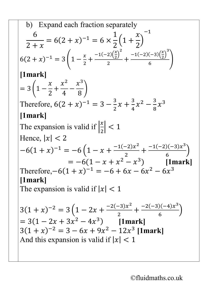b) Expand each fraction separately  
\n
$$
\frac{6}{2+x} = 6(2+x)^{-1} = 6 \times \frac{1}{2} \left(1 + \frac{x}{2}\right)^{-1}
$$
\n
$$
6(2+x)^{-1} = 3\left(1 - \frac{x}{2} + \frac{-1(-2)\left(\frac{x}{2}\right)^2}{2} + \frac{-1(-2)(-3)\left(\frac{x}{2}\right)^3}{6}\right)
$$
\n[1mark]  
\n
$$
= 3\left(1 - \frac{x}{2} + \frac{x^2}{4} - \frac{x^3}{8}\right)
$$
\nTherefore,  $6(2+x)^{-1} = 3 - \frac{3}{2}x + \frac{3}{4}x^2 - \frac{3}{8}x^3$   
\n[1mark]  
\nThe expansion is valid if  $\left|\frac{x}{2}\right| < 1$   
\nHence,  $|x| < 2$   
\n
$$
-6(1+x)^{-1} = -6\left(1 - x + \frac{-1(-2)x^2}{2} + \frac{-1(-2)(-3)x^3}{6}\right)
$$
\n
$$
= -6(1 - x + x^2 - x^3) \quad \text{[1mark]}
$$
\nTherefore,  $-6(1 + x)^{-1} = -6 + 6x - 6x^2 - 6x^3$   
\n[1mark]  
\nThe expansion is valid if  $|x| < 1$   
\n3(1 + x)<sup>-2</sup> = 3\left(1 - 2x + \frac{-2(-3)x^2}{2} + \frac{-2(-3)(-4)x^3}{6}\right)  
\n= 3(1 - 2x + 3x^2 - 4x^3) \quad \text{[1mark]}  
\n3(1 + x)<sup>-2</sup> = 3 - 6x + 9x^2 - 12x^3 \quad \text{[1mark]}  
\nAnd this expansion is valid if  $|x| < 1$